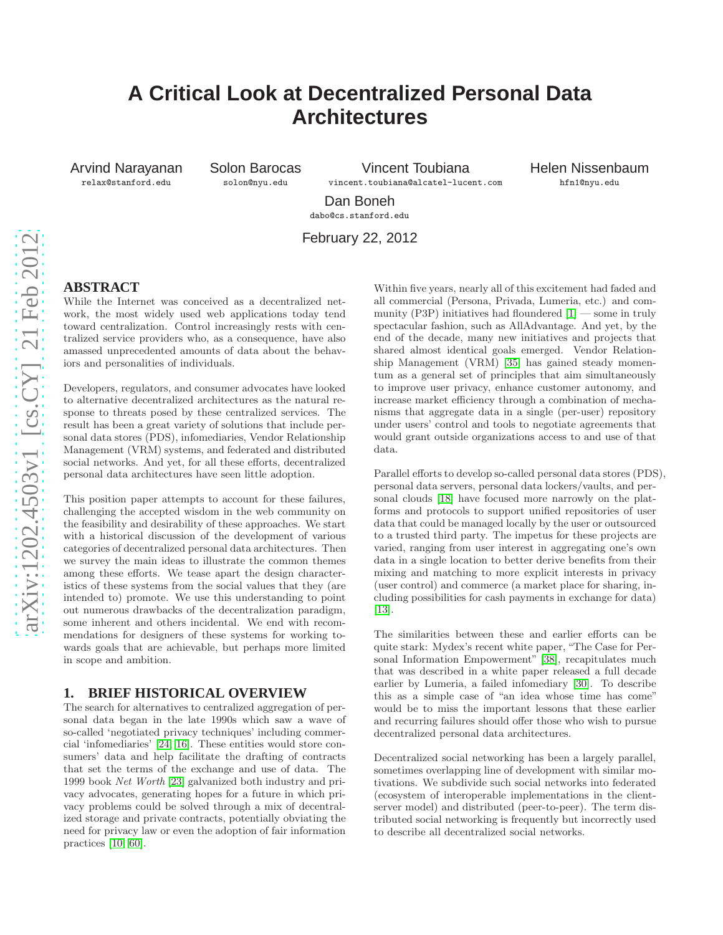# **A Critical Look at Decentralized Personal Data Architectures**

Arvind Narayanan relax@stanford.edu

Solon Barocas solon@nyu.edu

Vincent Toubiana vincent.toubiana@alcatel-lucent.com Helen Nissenbaum hfn1@nyu.edu

Dan Boneh dabo@cs.stanford.edu

February 22, 2012

## **ABSTRACT**

While the Internet was conceived as a decentralized network, the most widely used web applications today tend toward centralization. Control increasingly rests with centralized service providers who, as a consequence, have also amassed unprecedented amounts of data about the behaviors and personalities of individuals.

Developers, regulators, and consumer advocates have looked to alternative decentralized architectures as the natural response to threats posed by these centralized services. The result has been a great variety of solutions that include personal data stores (PDS), infomediaries, Vendor Relationship Management (VRM) systems, and federated and distributed social networks. And yet, for all these efforts, decentralized personal data architectures have seen little adoption.

This position paper attempts to account for these failures, challenging the accepted wisdom in the web community on the feasibility and desirability of these approaches. We start with a historical discussion of the development of various categories of decentralized personal data architectures. Then we survey the main ideas to illustrate the common themes among these efforts. We tease apart the design characteristics of these systems from the social values that they (are intended to) promote. We use this understanding to point out numerous drawbacks of the decentralization paradigm, some inherent and others incidental. We end with recommendations for designers of these systems for working towards goals that are achievable, but perhaps more limited in scope and ambition.

#### **1. BRIEF HISTORICAL OVERVIEW**

The search for alternatives to centralized aggregation of personal data began in the late 1990s which saw a wave of so-called 'negotiated privacy techniques' including commercial 'infomediaries' [\[24,](#page-5-0) [16\]](#page-5-1). These entities would store consumers' data and help facilitate the drafting of contracts that set the terms of the exchange and use of data. The 1999 book *Net Worth* [\[23\]](#page-5-2) galvanized both industry and privacy advocates, generating hopes for a future in which privacy problems could be solved through a mix of decentralized storage and private contracts, potentially obviating the need for privacy law or even the adoption of fair information practices [\[10,](#page-5-3) [60\]](#page-6-0).

Within five years, nearly all of this excitement had faded and all commercial (Persona, Privada, Lumeria, etc.) and community (P3P) initiatives had floundered  $[1]$  — some in truly spectacular fashion, such as AllAdvantage. And yet, by the end of the decade, many new initiatives and projects that shared almost identical goals emerged. Vendor Relationship Management (VRM) [\[35\]](#page-5-5) has gained steady momentum as a general set of principles that aim simultaneously to improve user privacy, enhance customer autonomy, and increase market efficiency through a combination of mechanisms that aggregate data in a single (per-user) repository under users' control and tools to negotiate agreements that would grant outside organizations access to and use of that data.

Parallel efforts to develop so-called personal data stores (PDS), personal data servers, personal data lockers/vaults, and personal clouds [\[18\]](#page-5-6) have focused more narrowly on the platforms and protocols to support unified repositories of user data that could be managed locally by the user or outsourced to a trusted third party. The impetus for these projects are varied, ranging from user interest in aggregating one's own data in a single location to better derive benefits from their mixing and matching to more explicit interests in privacy (user control) and commerce (a market place for sharing, including possibilities for cash payments in exchange for data) [\[13\]](#page-5-7).

The similarities between these and earlier efforts can be quite stark: Mydex's recent white paper, "The Case for Personal Information Empowerment" [\[38\]](#page-6-1), recapitulates much that was described in a white paper released a full decade earlier by Lumeria, a failed infomediary [\[30\]](#page-5-8). To describe this as a simple case of "an idea whose time has come" would be to miss the important lessons that these earlier and recurring failures should offer those who wish to pursue decentralized personal data architectures.

Decentralized social networking has been a largely parallel, sometimes overlapping line of development with similar motivations. We subdivide such social networks into federated (ecosystem of interoperable implementations in the clientserver model) and distributed (peer-to-peer). The term distributed social networking is frequently but incorrectly used to describe all decentralized social networks.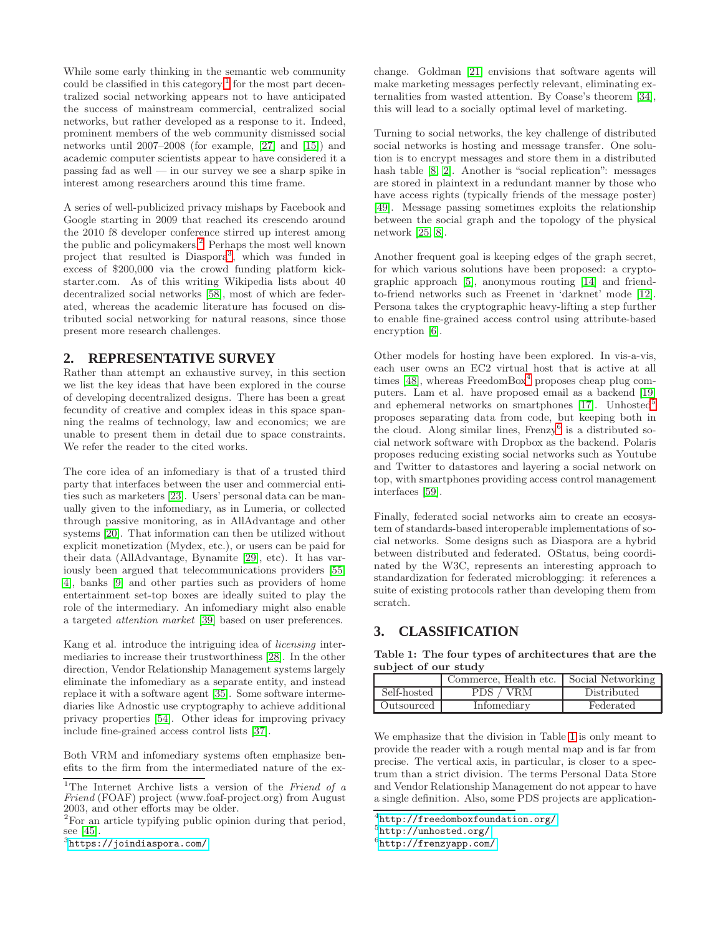While some early thinking in the semantic web community could be classified in this category,<sup>[1](#page-1-0)</sup> for the most part decentralized social networking appears not to have anticipated the success of mainstream commercial, centralized social networks, but rather developed as a response to it. Indeed, prominent members of the web community dismissed social networks until 2007–2008 (for example, [\[27\]](#page-5-9) and [\[15\]](#page-5-10)) and academic computer scientists appear to have considered it a passing fad as well — in our survey we see a sharp spike in interest among researchers around this time frame.

A series of well-publicized privacy mishaps by Facebook and Google starting in 2009 that reached its crescendo around the 2010 f8 developer conference stirred up interest among the public and policymakers.[2](#page-1-1) Perhaps the most well known project that resulted is Diaspora[3](#page-1-2) , which was funded in excess of \$200,000 via the crowd funding platform kickstarter.com. As of this writing Wikipedia lists about 40 decentralized social networks [\[58\]](#page-6-2), most of which are federated, whereas the academic literature has focused on distributed social networking for natural reasons, since those present more research challenges.

#### **2. REPRESENTATIVE SURVEY**

Rather than attempt an exhaustive survey, in this section we list the key ideas that have been explored in the course of developing decentralized designs. There has been a great fecundity of creative and complex ideas in this space spanning the realms of technology, law and economics; we are unable to present them in detail due to space constraints. We refer the reader to the cited works.

The core idea of an infomediary is that of a trusted third party that interfaces between the user and commercial entities such as marketers [\[23\]](#page-5-2). Users' personal data can be manually given to the infomediary, as in Lumeria, or collected through passive monitoring, as in AllAdvantage and other systems [\[20\]](#page-5-11). That information can then be utilized without explicit monetization (Mydex, etc.), or users can be paid for their data (AllAdvantage, Bynamite [\[29\]](#page-5-12), etc). It has variously been argued that telecommunications providers [\[55,](#page-6-3) [4\]](#page-5-13), banks [\[9\]](#page-5-14) and other parties such as providers of home entertainment set-top boxes are ideally suited to play the role of the intermediary. An infomediary might also enable a targeted *attention market* [\[39\]](#page-6-4) based on user preferences.

Kang et al. introduce the intriguing idea of *licensing* intermediaries to increase their trustworthiness [\[28\]](#page-5-15). In the other direction, Vendor Relationship Management systems largely eliminate the infomediary as a separate entity, and instead replace it with a software agent [\[35\]](#page-5-5). Some software intermediaries like Adnostic use cryptography to achieve additional privacy properties [\[54\]](#page-6-5). Other ideas for improving privacy include fine-grained access control lists [\[37\]](#page-6-6).

Both VRM and infomediary systems often emphasize benefits to the firm from the intermediated nature of the exchange. Goldman [\[21\]](#page-5-16) envisions that software agents will make marketing messages perfectly relevant, eliminating externalities from wasted attention. By Coase's theorem [\[34\]](#page-5-17), this will lead to a socially optimal level of marketing.

Turning to social networks, the key challenge of distributed social networks is hosting and message transfer. One solution is to encrypt messages and store them in a distributed hash table [\[8,](#page-5-18) [2\]](#page-5-19). Another is "social replication": messages are stored in plaintext in a redundant manner by those who have access rights (typically friends of the message poster) [\[49\]](#page-6-8). Message passing sometimes exploits the relationship between the social graph and the topology of the physical network [\[25,](#page-5-20) [8\]](#page-5-18).

Another frequent goal is keeping edges of the graph secret, for which various solutions have been proposed: a cryptographic approach [\[5\]](#page-5-21), anonymous routing [\[14\]](#page-5-22) and friendto-friend networks such as Freenet in 'darknet' mode [\[12\]](#page-5-23). Persona takes the cryptographic heavy-lifting a step further to enable fine-grained access control using attribute-based encryption [\[6\]](#page-5-24).

Other models for hosting have been explored. In vis-a-vis, each user owns an EC2 virtual host that is active at all times  $[48]$  $[48]$  $[48]$ , whereas FreedomBox<sup>4</sup> proposes cheap plug computers. Lam et al. have proposed email as a backend [\[19\]](#page-5-25) and ephemeral networks on smartphones [\[17\]](#page-5-26). Unhosted<sup>[5](#page-1-4)</sup> proposes separating data from code, but keeping both in the cloud. Along similar lines,  $Frenzy^6$  $Frenzy^6$  is a distributed social network software with Dropbox as the backend. Polaris proposes reducing existing social networks such as Youtube and Twitter to datastores and layering a social network on top, with smartphones providing access control management interfaces [\[59\]](#page-6-10).

Finally, federated social networks aim to create an ecosystem of standards-based interoperable implementations of social networks. Some designs such as Diaspora are a hybrid between distributed and federated. OStatus, being coordinated by the W3C, represents an interesting approach to standardization for federated microblogging: it references a suite of existing protocols rather than developing them from scratch.

## **3. CLASSIFICATION**

Table 1: The four types of architectures that are the subject of our study

<span id="page-1-6"></span>

|             | Commerce, Health etc. | Social Networking |
|-------------|-----------------------|-------------------|
| Self-hosted | PDS.<br>/ VRM         | Distributed       |
| Outsourced  | Infomediary           | Federated         |

We emphasize that the division in Table [1](#page-1-6) is only meant to provide the reader with a rough mental map and is far from precise. The vertical axis, in particular, is closer to a spectrum than a strict division. The terms Personal Data Store and Vendor Relationship Management do not appear to have a single definition. Also, some PDS projects are application-

<span id="page-1-0"></span><sup>1</sup>The Internet Archive lists a version of the *Friend of a Friend* (FOAF) project (www.foaf-project.org) from August 2003, and other efforts may be older.

<sup>2</sup>For an article typifying public opinion during that period, see [\[45\]](#page-6-7).

<span id="page-1-2"></span><span id="page-1-1"></span><sup>3</sup> <https://joindiaspora.com/>

<sup>4</sup> <http://freedomboxfoundation.org/>

<span id="page-1-3"></span><sup>5</sup> <http://unhosted.org/>

<span id="page-1-5"></span><span id="page-1-4"></span><sup>6</sup> <http://frenzyapp.com/>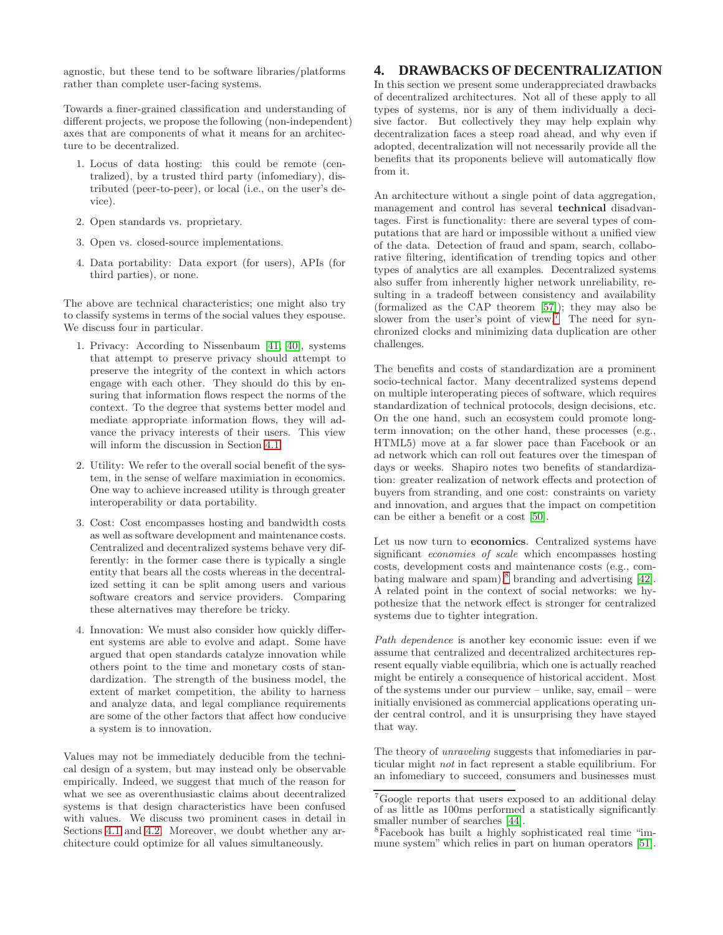agnostic, but these tend to be software libraries/platforms rather than complete user-facing systems.

Towards a finer-grained classification and understanding of different projects, we propose the following (non-independent) axes that are components of what it means for an architecture to be decentralized.

- 1. Locus of data hosting: this could be remote (centralized), by a trusted third party (infomediary), distributed (peer-to-peer), or local (i.e., on the user's device).
- 2. Open standards vs. proprietary.
- 3. Open vs. closed-source implementations.
- 4. Data portability: Data export (for users), APIs (for third parties), or none.

The above are technical characteristics; one might also try to classify systems in terms of the social values they espouse. We discuss four in particular.

- 1. Privacy: According to Nissenbaum [\[41,](#page-6-11) [40\]](#page-6-12), systems that attempt to preserve privacy should attempt to preserve the integrity of the context in which actors engage with each other. They should do this by ensuring that information flows respect the norms of the context. To the degree that systems better model and mediate appropriate information flows, they will advance the privacy interests of their users. This view will inform the discussion in Section [4.1.](#page-3-0)
- 2. Utility: We refer to the overall social benefit of the system, in the sense of welfare maximiation in economics. One way to achieve increased utility is through greater interoperability or data portability.
- 3. Cost: Cost encompasses hosting and bandwidth costs as well as software development and maintenance costs. Centralized and decentralized systems behave very differently: in the former case there is typically a single entity that bears all the costs whereas in the decentralized setting it can be split among users and various software creators and service providers. Comparing these alternatives may therefore be tricky.
- 4. Innovation: We must also consider how quickly different systems are able to evolve and adapt. Some have argued that open standards catalyze innovation while others point to the time and monetary costs of standardization. The strength of the business model, the extent of market competition, the ability to harness and analyze data, and legal compliance requirements are some of the other factors that affect how conducive a system is to innovation.

Values may not be immediately deducible from the technical design of a system, but may instead only be observable empirically. Indeed, we suggest that much of the reason for what we see as overenthusiastic claims about decentralized systems is that design characteristics have been confused with values. We discuss two prominent cases in detail in Sections [4.1](#page-3-0) and [4.2.](#page-3-1) Moreover, we doubt whether any architecture could optimize for all values simultaneously.

## **4. DRAWBACKS OF DECENTRALIZATION**

In this section we present some underappreciated drawbacks of decentralized architectures. Not all of these apply to all types of systems, nor is any of them individually a decisive factor. But collectively they may help explain why decentralization faces a steep road ahead, and why even if adopted, decentralization will not necessarily provide all the benefits that its proponents believe will automatically flow from it.

An architecture without a single point of data aggregation, management and control has several technical disadvantages. First is functionality: there are several types of computations that are hard or impossible without a unified view of the data. Detection of fraud and spam, search, collaborative filtering, identification of trending topics and other types of analytics are all examples. Decentralized systems also suffer from inherently higher network unreliability, resulting in a tradeoff between consistency and availability (formalized as the CAP theorem [\[57\]](#page-6-13)); they may also be slower from the user's point of view.<sup>[7](#page-2-0)</sup> The need for synchronized clocks and minimizing data duplication are other challenges.

The benefits and costs of standardization are a prominent socio-technical factor. Many decentralized systems depend on multiple interoperating pieces of software, which requires standardization of technical protocols, design decisions, etc. On the one hand, such an ecosystem could promote longterm innovation; on the other hand, these processes (e.g., HTML5) move at a far slower pace than Facebook or an ad network which can roll out features over the timespan of days or weeks. Shapiro notes two benefits of standardization: greater realization of network effects and protection of buyers from stranding, and one cost: constraints on variety and innovation, and argues that the impact on competition can be either a benefit or a cost [\[50\]](#page-6-14).

Let us now turn to economics. Centralized systems have significant *economies of scale* which encompasses hosting costs, development costs and maintenance costs (e.g., com-bating malware and spam),<sup>[8](#page-2-1)</sup> branding and advertising [\[42\]](#page-6-15). A related point in the context of social networks: we hypothesize that the network effect is stronger for centralized systems due to tighter integration.

*Path dependence* is another key economic issue: even if we assume that centralized and decentralized architectures represent equally viable equilibria, which one is actually reached might be entirely a consequence of historical accident. Most of the systems under our purview – unlike, say, email – were initially envisioned as commercial applications operating under central control, and it is unsurprising they have stayed that way.

The theory of *unraveling* suggests that infomediaries in particular might *not* in fact represent a stable equilibrium. For an infomediary to succeed, consumers and businesses must

<span id="page-2-0"></span><sup>7</sup>Google reports that users exposed to an additional delay of as little as 100ms performed a statistically significantly smaller number of searches [\[44\]](#page-6-16).

<span id="page-2-1"></span><sup>8</sup>Facebook has built a highly sophisticated real time "immune system" which relies in part on human operators [\[51\]](#page-6-17).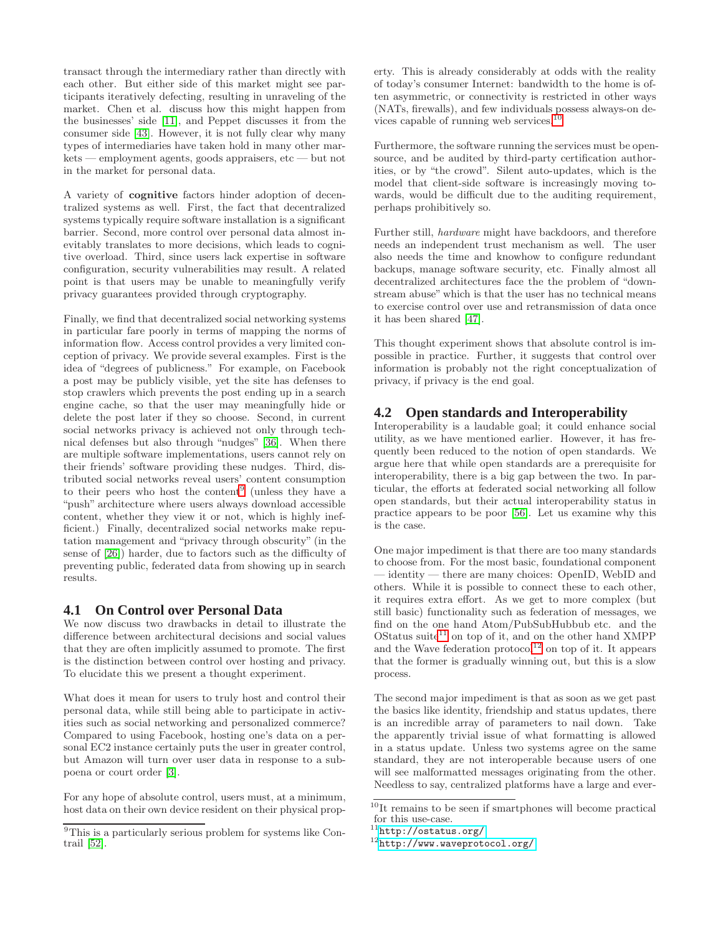transact through the intermediary rather than directly with each other. But either side of this market might see participants iteratively defecting, resulting in unraveling of the market. Chen et al. discuss how this might happen from the businesses' side [\[11\]](#page-5-27), and Peppet discusses it from the consumer side [\[43\]](#page-6-18). However, it is not fully clear why many types of intermediaries have taken hold in many other markets — employment agents, goods appraisers, etc — but not in the market for personal data.

A variety of cognitive factors hinder adoption of decentralized systems as well. First, the fact that decentralized systems typically require software installation is a significant barrier. Second, more control over personal data almost inevitably translates to more decisions, which leads to cognitive overload. Third, since users lack expertise in software configuration, security vulnerabilities may result. A related point is that users may be unable to meaningfully verify privacy guarantees provided through cryptography.

Finally, we find that decentralized social networking systems in particular fare poorly in terms of mapping the norms of information flow. Access control provides a very limited conception of privacy. We provide several examples. First is the idea of "degrees of publicness." For example, on Facebook a post may be publicly visible, yet the site has defenses to stop crawlers which prevents the post ending up in a search engine cache, so that the user may meaningfully hide or delete the post later if they so choose. Second, in current social networks privacy is achieved not only through technical defenses but also through "nudges" [\[36\]](#page-6-19). When there are multiple software implementations, users cannot rely on their friends' software providing these nudges. Third, distributed social networks reveal users' content consumption to their peers who host the content<sup>[9](#page-3-2)</sup> (unless they have a "push" architecture where users always download accessible content, whether they view it or not, which is highly inefficient.) Finally, decentralized social networks make reputation management and "privacy through obscurity" (in the sense of [\[26\]](#page-5-28)) harder, due to factors such as the difficulty of preventing public, federated data from showing up in search results.

#### <span id="page-3-0"></span>**4.1 On Control over Personal Data**

We now discuss two drawbacks in detail to illustrate the difference between architectural decisions and social values that they are often implicitly assumed to promote. The first is the distinction between control over hosting and privacy. To elucidate this we present a thought experiment.

What does it mean for users to truly host and control their personal data, while still being able to participate in activities such as social networking and personalized commerce? Compared to using Facebook, hosting one's data on a personal EC2 instance certainly puts the user in greater control, but Amazon will turn over user data in response to a subpoena or court order [\[3\]](#page-5-29).

For any hope of absolute control, users must, at a minimum, host data on their own device resident on their physical property. This is already considerably at odds with the reality of today's consumer Internet: bandwidth to the home is often asymmetric, or connectivity is restricted in other ways (NATs, firewalls), and few individuals possess always-on de-vices capable of running web services.<sup>[10](#page-3-3)</sup>

Furthermore, the software running the services must be opensource, and be audited by third-party certification authorities, or by "the crowd". Silent auto-updates, which is the model that client-side software is increasingly moving towards, would be difficult due to the auditing requirement, perhaps prohibitively so.

Further still, *hardware* might have backdoors, and therefore needs an independent trust mechanism as well. The user also needs the time and knowhow to configure redundant backups, manage software security, etc. Finally almost all decentralized architectures face the the problem of "downstream abuse" which is that the user has no technical means to exercise control over use and retransmission of data once it has been shared [\[47\]](#page-6-21).

This thought experiment shows that absolute control is impossible in practice. Further, it suggests that control over information is probably not the right conceptualization of privacy, if privacy is the end goal.

## <span id="page-3-1"></span>**4.2 Open standards and Interoperability**

Interoperability is a laudable goal; it could enhance social utility, as we have mentioned earlier. However, it has frequently been reduced to the notion of open standards. We argue here that while open standards are a prerequisite for interoperability, there is a big gap between the two. In particular, the efforts at federated social networking all follow open standards, but their actual interoperability status in practice appears to be poor [\[56\]](#page-6-22). Let us examine why this is the case.

One major impediment is that there are too many standards to choose from. For the most basic, foundational component — identity — there are many choices: OpenID, WebID and others. While it is possible to connect these to each other, it requires extra effort. As we get to more complex (but still basic) functionality such as federation of messages, we find on the one hand Atom/PubSubHubbub etc. and the OStatus suite $11$  on top of it, and on the other hand XMPP and the Wave federation  $protocol<sup>12</sup>$  $protocol<sup>12</sup>$  $protocol<sup>12</sup>$  on top of it. It appears that the former is gradually winning out, but this is a slow process.

The second major impediment is that as soon as we get past the basics like identity, friendship and status updates, there is an incredible array of parameters to nail down. Take the apparently trivial issue of what formatting is allowed in a status update. Unless two systems agree on the same standard, they are not interoperable because users of one will see malformatted messages originating from the other. Needless to say, centralized platforms have a large and ever-

<span id="page-3-2"></span> $\overline{9}$ This is a particularly serious problem for systems like Contrail [\[52\]](#page-6-20).

 $\sqrt[10]{10}$  remains to be seen if smartphones will become practical for this use-case.

<span id="page-3-3"></span> $^{11}$ <http://ostatus.org/>

<span id="page-3-5"></span><span id="page-3-4"></span> $12$ <http://www.waveprotocol.org/>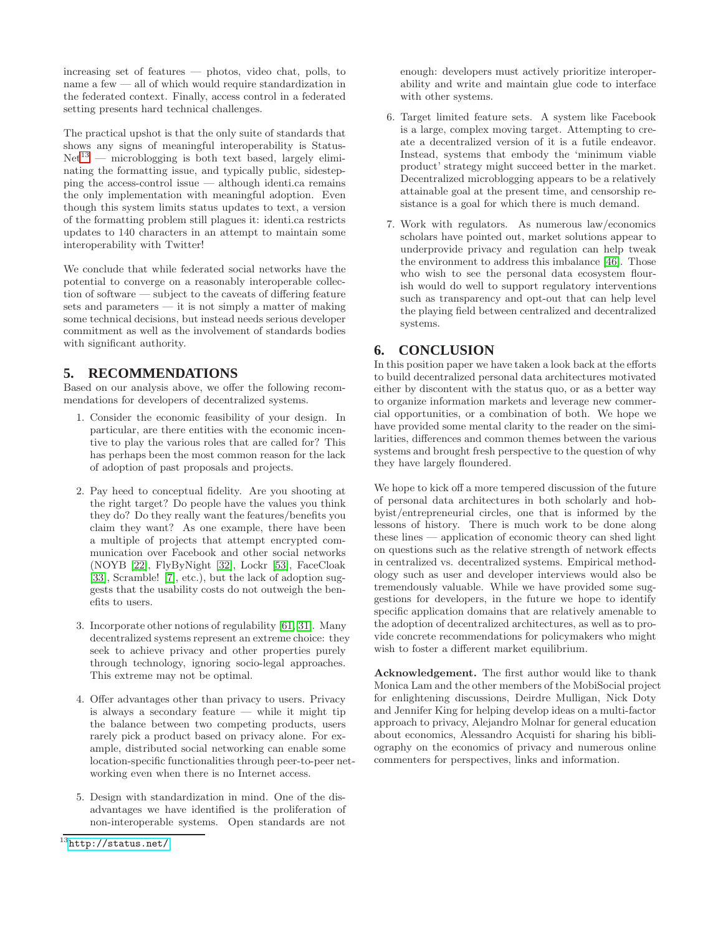increasing set of features — photos, video chat, polls, to name a few — all of which would require standardization in the federated context. Finally, access control in a federated setting presents hard technical challenges.

The practical upshot is that the only suite of standards that shows any signs of meaningful interoperability is Status- $Net<sup>13</sup>$  $Net<sup>13</sup>$  $Net<sup>13</sup>$  — microblogging is both text based, largely eliminating the formatting issue, and typically public, sidestepping the access-control issue — although identi.ca remains the only implementation with meaningful adoption. Even though this system limits status updates to text, a version of the formatting problem still plagues it: identi.ca restricts updates to 140 characters in an attempt to maintain some interoperability with Twitter!

We conclude that while federated social networks have the potential to converge on a reasonably interoperable collection of software — subject to the caveats of differing feature sets and parameters — it is not simply a matter of making some technical decisions, but instead needs serious developer commitment as well as the involvement of standards bodies with significant authority.

# **5. RECOMMENDATIONS**

Based on our analysis above, we offer the following recommendations for developers of decentralized systems.

- 1. Consider the economic feasibility of your design. In particular, are there entities with the economic incentive to play the various roles that are called for? This has perhaps been the most common reason for the lack of adoption of past proposals and projects.
- 2. Pay heed to conceptual fidelity. Are you shooting at the right target? Do people have the values you think they do? Do they really want the features/benefits you claim they want? As one example, there have been a multiple of projects that attempt encrypted communication over Facebook and other social networks (NOYB [\[22\]](#page-5-30), FlyByNight [\[32\]](#page-5-31), Lockr [\[53\]](#page-6-23), FaceCloak [\[33\]](#page-5-32), Scramble! [\[7\]](#page-5-33), etc.), but the lack of adoption suggests that the usability costs do not outweigh the benefits to users.
- 3. Incorporate other notions of regulability [\[61,](#page-6-24) [31\]](#page-5-34). Many decentralized systems represent an extreme choice: they seek to achieve privacy and other properties purely through technology, ignoring socio-legal approaches. This extreme may not be optimal.
- 4. Offer advantages other than privacy to users. Privacy is always a secondary feature  $-$  while it might tip the balance between two competing products, users rarely pick a product based on privacy alone. For example, distributed social networking can enable some location-specific functionalities through peer-to-peer networking even when there is no Internet access.
- 5. Design with standardization in mind. One of the disadvantages we have identified is the proliferation of non-interoperable systems. Open standards are not

enough: developers must actively prioritize interoperability and write and maintain glue code to interface with other systems.

- 6. Target limited feature sets. A system like Facebook is a large, complex moving target. Attempting to create a decentralized version of it is a futile endeavor. Instead, systems that embody the 'minimum viable product' strategy might succeed better in the market. Decentralized microblogging appears to be a relatively attainable goal at the present time, and censorship resistance is a goal for which there is much demand.
- 7. Work with regulators. As numerous law/economics scholars have pointed out, market solutions appear to underprovide privacy and regulation can help tweak the environment to address this imbalance [\[46\]](#page-6-25). Those who wish to see the personal data ecosystem flourish would do well to support regulatory interventions such as transparency and opt-out that can help level the playing field between centralized and decentralized systems.

# **6. CONCLUSION**

In this position paper we have taken a look back at the efforts to build decentralized personal data architectures motivated either by discontent with the status quo, or as a better way to organize information markets and leverage new commercial opportunities, or a combination of both. We hope we have provided some mental clarity to the reader on the similarities, differences and common themes between the various systems and brought fresh perspective to the question of why they have largely floundered.

We hope to kick off a more tempered discussion of the future of personal data architectures in both scholarly and hobbyist/entrepreneurial circles, one that is informed by the lessons of history. There is much work to be done along these lines — application of economic theory can shed light on questions such as the relative strength of network effects in centralized vs. decentralized systems. Empirical methodology such as user and developer interviews would also be tremendously valuable. While we have provided some suggestions for developers, in the future we hope to identify specific application domains that are relatively amenable to the adoption of decentralized architectures, as well as to provide concrete recommendations for policymakers who might wish to foster a different market equilibrium.

Acknowledgement. The first author would like to thank Monica Lam and the other members of the MobiSocial project for enlightening discussions, Deirdre Mulligan, Nick Doty and Jennifer King for helping develop ideas on a multi-factor approach to privacy, Alejandro Molnar for general education about economics, Alessandro Acquisti for sharing his bibliography on the economics of privacy and numerous online commenters for perspectives, links and information.

<span id="page-4-0"></span> $^{13}$ <http://status.net/>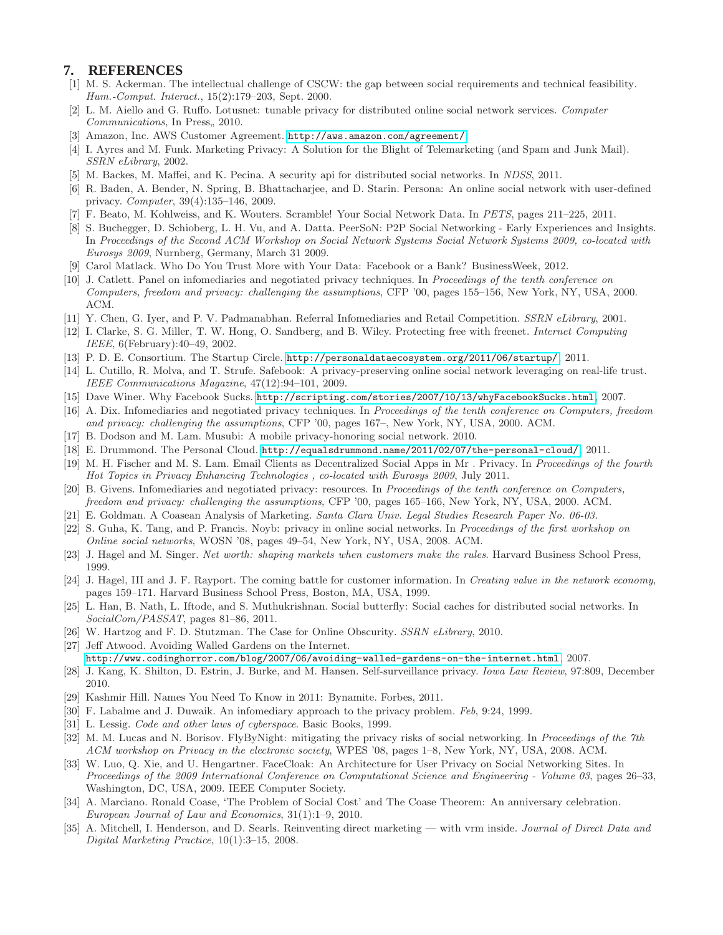#### <span id="page-5-4"></span>**7. REFERENCES**

- [1] M. S. Ackerman. The intellectual challenge of CSCW: the gap between social requirements and technical feasibility. *Hum.-Comput. Interact.*, 15(2):179–203, Sept. 2000.
- <span id="page-5-19"></span>[2] L. M. Aiello and G. Ruffo. Lotusnet: tunable privacy for distributed online social network services. *Computer Communications*, In Press, 2010.
- <span id="page-5-29"></span><span id="page-5-13"></span>[3] Amazon, Inc. AWS Customer Agreement. <http://aws.amazon.com/agreement/>.
- [4] I. Ayres and M. Funk. Marketing Privacy: A Solution for the Blight of Telemarketing (and Spam and Junk Mail). *SSRN eLibrary*, 2002.
- <span id="page-5-24"></span><span id="page-5-21"></span>[5] M. Backes, M. Maffei, and K. Pecina. A security api for distributed social networks. In *NDSS*, 2011.
- [6] R. Baden, A. Bender, N. Spring, B. Bhattacharjee, and D. Starin. Persona: An online social network with user-defined privacy. *Computer*, 39(4):135–146, 2009.
- <span id="page-5-33"></span><span id="page-5-18"></span>[7] F. Beato, M. Kohlweiss, and K. Wouters. Scramble! Your Social Network Data. In *PETS*, pages 211–225, 2011.
- [8] S. Buchegger, D. Schioberg, L. H. Vu, and A. Datta. PeerSoN: P2P Social Networking Early Experiences and Insights. In *Proceedings of the Second ACM Workshop on Social Network Systems Social Network Systems 2009, co-located with Eurosys 2009*, Nurnberg, Germany, March 31 2009.
- <span id="page-5-14"></span><span id="page-5-3"></span>[9] Carol Matlack. Who Do You Trust More with Your Data: Facebook or a Bank? BusinessWeek, 2012.
- [10] J. Catlett. Panel on infomediaries and negotiated privacy techniques. In *Proceedings of the tenth conference on Computers, freedom and privacy: challenging the assumptions*, CFP '00, pages 155–156, New York, NY, USA, 2000. ACM.
- <span id="page-5-27"></span><span id="page-5-23"></span>[11] Y. Chen, G. Iyer, and P. V. Padmanabhan. Referral Infomediaries and Retail Competition. *SSRN eLibrary*, 2001.
- [12] I. Clarke, S. G. Miller, T. W. Hong, O. Sandberg, and B. Wiley. Protecting free with freenet. *Internet Computing IEEE*, 6(February):40–49, 2002.
- <span id="page-5-22"></span><span id="page-5-7"></span>[13] P. D. E. Consortium. The Startup Circle. <http://personaldataecosystem.org/2011/06/startup/>, 2011.
- [14] L. Cutillo, R. Molva, and T. Strufe. Safebook: A privacy-preserving online social network leveraging on real-life trust. *IEEE Communications Magazine*, 47(12):94–101, 2009.
- <span id="page-5-10"></span><span id="page-5-1"></span>[15] Dave Winer. Why Facebook Sucks. <http://scripting.com/stories/2007/10/13/whyFacebookSucks.html>, 2007.
- [16] A. Dix. Infomediaries and negotiated privacy techniques. In *Proceedings of the tenth conference on Computers, freedom and privacy: challenging the assumptions*, CFP '00, pages 167–, New York, NY, USA, 2000. ACM.
- <span id="page-5-26"></span><span id="page-5-6"></span>[17] B. Dodson and M. Lam. Musubi: A mobile privacy-honoring social network. 2010.
- <span id="page-5-25"></span>[18] E. Drummond. The Personal Cloud. <http://equalsdrummond.name/2011/02/07/the-personal-cloud/>, 2011.
- [19] M. H. Fischer and M. S. Lam. Email Clients as Decentralized Social Apps in Mr . Privacy. In *Proceedings of the fourth Hot Topics in Privacy Enhancing Technologies , co-located with Eurosys 2009*, July 2011.
- <span id="page-5-11"></span>[20] B. Givens. Infomediaries and negotiated privacy: resources. In *Proceedings of the tenth conference on Computers, freedom and privacy: challenging the assumptions*, CFP '00, pages 165–166, New York, NY, USA, 2000. ACM.
- <span id="page-5-30"></span><span id="page-5-16"></span>[21] E. Goldman. A Coasean Analysis of Marketing. *Santa Clara Univ. Legal Studies Research Paper No. 06-03*.
- [22] S. Guha, K. Tang, and P. Francis. Noyb: privacy in online social networks. In *Proceedings of the first workshop on Online social networks*, WOSN '08, pages 49–54, New York, NY, USA, 2008. ACM.
- <span id="page-5-2"></span><span id="page-5-0"></span>[23] J. Hagel and M. Singer. *Net worth: shaping markets when customers make the rules*. Harvard Business School Press, 1999.
- [24] J. Hagel, III and J. F. Rayport. The coming battle for customer information. In *Creating value in the network economy*, pages 159–171. Harvard Business School Press, Boston, MA, USA, 1999.
- <span id="page-5-20"></span>[25] L. Han, B. Nath, L. Iftode, and S. Muthukrishnan. Social butterfly: Social caches for distributed social networks. In *SocialCom/PASSAT*, pages 81–86, 2011.
- <span id="page-5-28"></span><span id="page-5-9"></span>[26] W. Hartzog and F. D. Stutzman. The Case for Online Obscurity. *SSRN eLibrary*, 2010.
- [27] Jeff Atwood. Avoiding Walled Gardens on the Internet.
	- <http://www.codinghorror.com/blog/2007/06/avoiding-walled-gardens-on-the-internet.html>, 2007.
- <span id="page-5-15"></span>[28] J. Kang, K. Shilton, D. Estrin, J. Burke, and M. Hansen. Self-surveillance privacy. *Iowa Law Review*, 97:809, December 2010.
- <span id="page-5-12"></span><span id="page-5-8"></span>[29] Kashmir Hill. Names You Need To Know in 2011: Bynamite. Forbes, 2011.
- <span id="page-5-34"></span>[30] F. Labalme and J. Duwaik. An infomediary approach to the privacy problem. *Feb*, 9:24, 1999.
- <span id="page-5-31"></span>[31] L. Lessig. *Code and other laws of cyberspace*. Basic Books, 1999.
- [32] M. M. Lucas and N. Borisov. FlyByNight: mitigating the privacy risks of social networking. In *Proceedings of the 7th ACM workshop on Privacy in the electronic society*, WPES '08, pages 1–8, New York, NY, USA, 2008. ACM.
- <span id="page-5-32"></span>[33] W. Luo, Q. Xie, and U. Hengartner. FaceCloak: An Architecture for User Privacy on Social Networking Sites. In *Proceedings of the 2009 International Conference on Computational Science and Engineering - Volume 03*, pages 26–33, Washington, DC, USA, 2009. IEEE Computer Society.
- <span id="page-5-17"></span>[34] A. Marciano. Ronald Coase, 'The Problem of Social Cost' and The Coase Theorem: An anniversary celebration. *European Journal of Law and Economics*, 31(1):1–9, 2010.
- <span id="page-5-5"></span>[35] A. Mitchell, I. Henderson, and D. Searls. Reinventing direct marketing — with vrm inside. *Journal of Direct Data and Digital Marketing Practice*, 10(1):3–15, 2008.